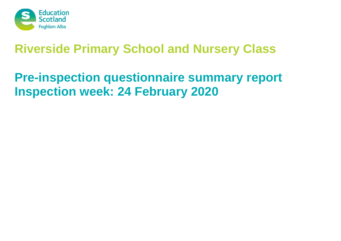

# **Pre-inspection questionnaire summary report Inspection week: 24 February 2020**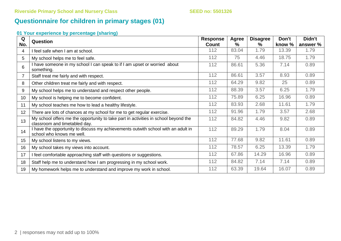# **Questionnaire for children in primary stages (01)**

### **01 Your experience by percentage (sharing)**

| Q<br>No.         | <b>Question</b>                                                                                                      | <b>Response</b><br>Count | <b>Agree</b><br>$\%$ | <b>Disagree</b><br>% | Don't<br>know % | Didn't<br>answer % |
|------------------|----------------------------------------------------------------------------------------------------------------------|--------------------------|----------------------|----------------------|-----------------|--------------------|
| 4                | I feel safe when I am at school.                                                                                     | 112                      | 83.04                | 1.79                 | 13.39           | 1.79               |
| 5                | My school helps me to feel safe.                                                                                     | 112                      | 75                   | 4.46                 | 18.75           | 1.79               |
| 6                | I have someone in my school I can speak to if I am upset or worried about<br>something.                              | 112                      | 86.61                | 5.36                 | 7.14            | 0.89               |
| $\overline{7}$   | Staff treat me fairly and with respect.                                                                              | 112                      | 86.61                | 3.57                 | 8.93            | 0.89               |
| 8                | Other children treat me fairly and with respect.                                                                     | 112                      | 64.29                | 9.82                 | 25              | 0.89               |
| 9                | My school helps me to understand and respect other people.                                                           | 112                      | 88.39                | 3.57                 | 6.25            | 1.79               |
| 10               | My school is helping me to become confident.                                                                         | 112                      | 75.89                | 6.25                 | 16.96           | 0.89               |
| 11               | My school teaches me how to lead a healthy lifestyle.                                                                | 112                      | 83.93                | 2.68                 | 11.61           | 1.79               |
| 12               | There are lots of chances at my school for me to get regular exercise.                                               | 112                      | 91.96                | 1.79                 | 3.57            | 2.68               |
| 13               | My school offers me the opportunity to take part in activities in school beyond the<br>classroom and timetabled day. | 112                      | 84.82                | 4.46                 | 9.82            | 0.89               |
| 14               | I have the opportunity to discuss my achievements outwith school with an adult in<br>school who knows me well.       | 112                      | 89.29                | 1.79                 | 8.04            | 0.89               |
| 15 <sub>15</sub> | My school listens to my views.                                                                                       | 112                      | 77.68                | 9.82                 | 11.61           | 0.89               |
| 16               | My school takes my views into account.                                                                               | 112                      | 78.57                | 6.25                 | 13.39           | 1.79               |
| 17               | I feel comfortable approaching staff with questions or suggestions.                                                  | 112                      | 67.86                | 14.29                | 16.96           | 0.89               |
| 18               | Staff help me to understand how I am progressing in my school work.                                                  | 112                      | 84.82                | 7.14                 | 7.14            | 0.89               |
| 19               | My homework helps me to understand and improve my work in school.                                                    | 112                      | 63.39                | 19.64                | 16.07           | 0.89               |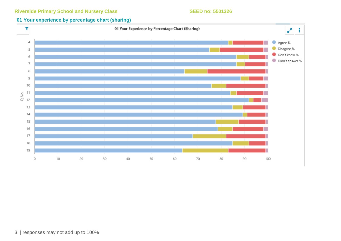### **01 Your experience by percentage chart (sharing)**

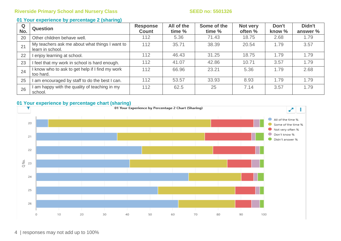### **01 Your experience by percentage 2 (sharing)**

| Q<br>No. | <b>Question</b>                                                    | <b>Response</b><br><b>Count</b> | All of the<br>time % | Some of the<br>time % | Not very<br>often % | Don't<br>know % | Didn't<br>answer % |
|----------|--------------------------------------------------------------------|---------------------------------|----------------------|-----------------------|---------------------|-----------------|--------------------|
| 20       | Other children behave well.                                        | 112                             | 5.36                 | 71.43                 | 18.75               | 2.68            | 1.79               |
| 21       | My teachers ask me about what things I want to<br>learn in school. | 112                             | 35.71                | 38.39                 | 20.54               | 1.79            | 3.57               |
| 22       | enjoy learning at school.                                          | 112                             | 46.43                | 31.25                 | 18.75               | 1.79            | 1.79               |
| 23       | I feel that my work in school is hard enough.                      | 112                             | 41.07                | 42.86                 | 10.71               | 3.57            | 1.79               |
| 24       | I know who to ask to get help if I find my work<br>too hard.       | 112                             | 66.96                | 23.21                 | 5.36                | 1.79            | 2.68               |
| 25       | am encouraged by staff to do the best I can.                       | 112                             | 53.57                | 33.93                 | 8.93                | 1.79            | 1.79               |
| 26       | am happy with the quality of teaching in my<br>school.             | 112                             | 62.5                 | 25                    | 7.14                | 3.57            | 1.79               |

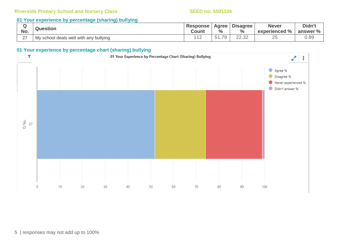### **01 Your experience by percentage (sharing) bullying**

| No.    | <b>Question</b>                         | <b>Response</b><br><b>Count</b> | <b>Agree</b><br>$\frac{0}{0}$    | <b>Disagree</b><br>$\frac{6}{6}$ | <b>Never</b><br>experienced % | Didn't<br>answer % |
|--------|-----------------------------------------|---------------------------------|----------------------------------|----------------------------------|-------------------------------|--------------------|
| $\sim$ | My school deals well with any bullying. | $\lambda$ $\lambda$ $\sim$      | $\overline{\phantom{a}}$<br>$-1$ | ററ ററ<br>ZZ.JZ                   | $\cap$ $\Gamma$<br>∠          | 0.89               |

### **01 Your experience by percentage chart (sharing) bullying**

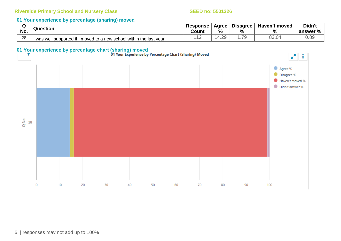### **01 Your experience by percentage (sharing) moved**

| $\sim$ | Question                                                              | <b>Response</b> | Agree | <b>Disagree</b> | Haven't moved | Didn't   |
|--------|-----------------------------------------------------------------------|-----------------|-------|-----------------|---------------|----------|
| No.    |                                                                       | Count           | %     | %               | $\frac{0}{0}$ | answer % |
| 28     | I was well supported if I moved to a new school within the last year. | . .             | .29   | 70              | 3.04          | 0.89     |

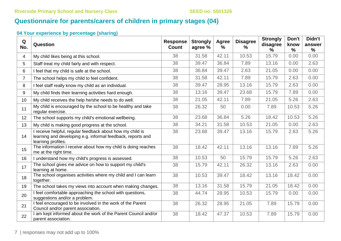# **Questionnaire for parents/carers of children in primary stages (04)**

**04 Your experience by percentage (sharing)**

| Q<br>No.       | Question                                                                                                                                       | <b>Response</b><br><b>Count</b> | <b>Strongly</b><br>agree % | Agree<br>℅ | <b>Disagree</b><br>$\%$ | <b>Strongly</b><br>disagree<br>% | Don't<br>know<br>$\frac{0}{0}$ | Didn't<br>answer<br>$\frac{0}{0}$ |
|----------------|------------------------------------------------------------------------------------------------------------------------------------------------|---------------------------------|----------------------------|------------|-------------------------|----------------------------------|--------------------------------|-----------------------------------|
| 4              | My child likes being at this school.                                                                                                           | 38                              | 31.58                      | 42.11      | 10.53                   | 15.79                            | 0.00                           | 0.00                              |
| 5              | Staff treat my child fairly and with respect.                                                                                                  | 38                              | 39.47                      | 36.84      | 7.89                    | 13.16                            | 0.00                           | 2.63                              |
| 6              | I feel that my child is safe at the school.                                                                                                    | 38                              | 36.84                      | 39.47      | 2.63                    | 21.05                            | 0.00                           | 0.00                              |
| $\overline{7}$ | The school helps my child to feel confident.                                                                                                   | 38                              | 31.58                      | 42.11      | 7.89                    | 15.79                            | 2.63                           | 0.00                              |
| 8              | I feel staff really know my child as an individual.                                                                                            | 38                              | 39.47                      | 28.95      | 13.16                   | 15.79                            | 2.63                           | 0.00                              |
| 9              | My child finds their learning activities hard enough.                                                                                          | 38                              | 13.16                      | 39.47      | 23.68                   | 15.79                            | 7.89                           | 0.00                              |
| 10             | My child receives the help he/she needs to do well.                                                                                            | 38                              | 21.05                      | 42.11      | 7.89                    | 21.05                            | 5.26                           | 2.63                              |
| 11             | My child is encouraged by the school to be healthy and take<br>regular exercise.                                                               | 38                              | 26.32                      | 50         | 0.00                    | 7.89                             | 10.53                          | 5.26                              |
| 12             | The school supports my child's emotional wellbeing.                                                                                            | 38                              | 23.68                      | 36.84      | 5.26                    | 18.42                            | 10.53                          | 5.26                              |
| 13             | My child is making good progress at the school.                                                                                                | 38                              | 34.21                      | 31.58      | 10.53                   | 21.05                            | 0.00                           | 2.63                              |
| 14             | I receive helpful, regular feedback about how my child is<br>learning and developing e.g. informal feedback, reports and<br>learning profiles. | 38                              | 23.68                      | 39.47      | 13.16                   | 15.79                            | 2.63                           | 5.26                              |
| 15             | The information I receive about how my child is doing reaches<br>me at the right time.                                                         | 38                              | 18.42                      | 42.11      | 13.16                   | 13.16                            | 7.89                           | 5.26                              |
| 16             | I understand how my child's progress is assessed.                                                                                              | 38                              | 10.53                      | 50         | 15.79                   | 15.79                            | 5.26                           | 2.63                              |
| 17             | The school gives me advice on how to support my child's<br>learning at home.                                                                   | 38                              | 15.79                      | 42.11      | 26.32                   | 13.16                            | 2.63                           | 0.00                              |
| 18             | The school organises activities where my child and I can learn<br>together.                                                                    | 38                              | 10.53                      | 39.47      | 18.42                   | 13.16                            | 18.42                          | 0.00                              |
| 19             | The school takes my views into account when making changes.                                                                                    | 38                              | 13.16                      | 31.58      | 15.79                   | 21.05                            | 18.42                          | 0.00                              |
| 20             | I feel comfortable approaching the school with questions,<br>suggestions and/or a problem.                                                     | 38                              | 44.74                      | 28.95      | 10.53                   | 15.79                            | 0.00                           | 0.00                              |
| 21             | I feel encouraged to be involved in the work of the Parent<br>Council and/or parent association.                                               | 38                              | 26.32                      | 28.95      | 21.05                   | 7.89                             | 15.79                          | 0.00                              |
| 22             | I am kept informed about the work of the Parent Council and/or<br>parent association.                                                          | 38                              | 18.42                      | 47.37      | 10.53                   | 7.89                             | 15.79                          | 0.00                              |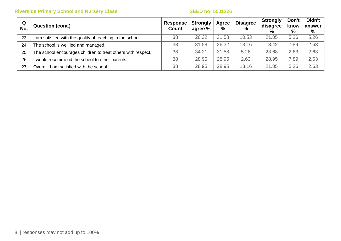| Q<br>No. | <b>Question (cont.)</b>                                      | Response<br><b>Count</b> | <b>Strongly</b><br>agree % | Agree<br>% | <b>Disagree</b><br>$\%$ | . Strongly<br>disagree<br>$\%$ | Don't<br>know<br>% | Didn't<br>answer<br>% |
|----------|--------------------------------------------------------------|--------------------------|----------------------------|------------|-------------------------|--------------------------------|--------------------|-----------------------|
| 23       | am satisfied with the quality of teaching in the school.     | 38                       | 26.32                      | 31.58      | 10.53                   | 21.05                          | 5.26               | 5.26                  |
| 24       | The school is well led and managed.                          | 38                       | 31.58                      | 26.32      | 13.16                   | 18.42                          | 7.89               | 2.63                  |
| 25       | The school encourages children to treat others with respect. | 38                       | 34.21                      | 31.58      | 5.26                    | 23.68                          | 2.63               | 2.63                  |
| 26       | would recommend the school to other parents.                 | 38                       | 28.95                      | 28.95      | 2.63                    | 28.95                          | 7.89               | 2.63                  |
| 27       | Overall, I am satisfied with the school.                     | 38                       | 28.95                      | 28.95      | 13.16                   | 21.05                          | 5.26               | 2.63                  |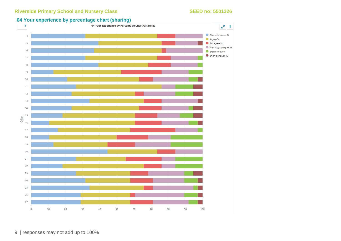### **04 Your experience by percentage chart (sharing)**

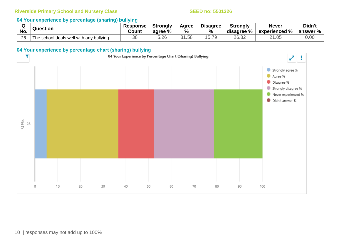### **04 Your experience by percentage (sharing) bullying**

|     | Question                                 | Response | <b>Strongly</b> | Agree             | <b>Disagree</b>                       | <b>Strongly</b> | <b>Never</b>  | Didn't                  |
|-----|------------------------------------------|----------|-----------------|-------------------|---------------------------------------|-----------------|---------------|-------------------------|
| No. |                                          | Count    | agree %         | %                 | $\%$                                  | disagree %      | experienced % | answer $\%$ $\parallel$ |
| 28  | The school deals well with any bullying. | ာဝ<br>しし | 5.26            | 31.58<br>$\Omega$ | $\overline{\phantom{0}}$<br>.79<br>5. | 26.32           | 2 I .UJ       | 0.00                    |

### **04 Your experience by percentage chart (sharing) bullying**

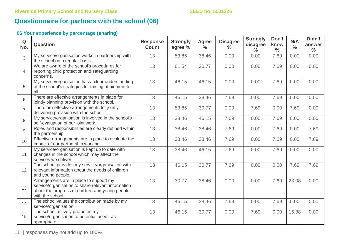# **Questionnaire for partners with the school (06)**

### **06 Your experience by percentage (sharing)**

| Q<br>No.       | <b>Question</b>                                                                                                                                                      | <b>Response</b><br><b>Count</b> | <b>Strongly</b><br>agree % | <b>Agree</b><br>$\frac{0}{0}$ | <b>Disagree</b><br>$\frac{0}{0}$ | <b>Strongly</b><br>disagree<br>$\%$ | Don't<br>know<br>$\frac{0}{0}$ | N/A<br>$\frac{0}{0}$ | Didn't<br>answer<br>$\frac{0}{0}$ |
|----------------|----------------------------------------------------------------------------------------------------------------------------------------------------------------------|---------------------------------|----------------------------|-------------------------------|----------------------------------|-------------------------------------|--------------------------------|----------------------|-----------------------------------|
| 3              | My service/organisation works in partnership with<br>the school on a regular basis.                                                                                  | 13                              | 53.85                      | 38.46                         | 0.00                             | 0.00                                | 7.69                           | 0.00                 | 0.00                              |
| $\overline{4}$ | We are aware of the school's procedures for<br>reporting child protection and safeguarding<br>concerns.                                                              | 13                              | 61.54                      | 30.77                         | 0.00                             | 0.00                                | 7.69                           | 0.00                 | 0.00                              |
| 5              | My service/organisation has a clear understanding<br>of the school's strategies for raising attainment for<br>all.                                                   | 13                              | 46.15                      | 46.15                         | 0.00                             | 0.00                                | 7.69                           | 0.00                 | 0.00                              |
| 6              | There are effective arrangements in place for<br>jointly planning provision with the school.                                                                         | 13                              | 46.15                      | 38.46                         | 7.69                             | 0.00                                | 7.69                           | 0.00                 | 0.00                              |
| $\overline{7}$ | There are effective arrangements for jointly<br>delivering provision with the school.                                                                                | 13                              | 53.85                      | 30.77                         | 0.00                             | 7.69                                | 0.00                           | 7.69                 | 0.00                              |
| 8              | My service/organisation is involved in the school's<br>self-evaluation of our joint work.                                                                            | 13                              | 38.46                      | 46.15                         | 7.69                             | 0.00                                | 7.69                           | 0.00                 | 0.00                              |
| 9              | Roles and responsibilities are clearly defined within<br>the partnership.                                                                                            | 13                              | 38.46                      | 38.46                         | 7.69                             | 0.00                                | 7.69                           | 0.00                 | 7.69                              |
| 10             | Effective arrangements are in place to evaluate the<br>impact of our partnership working.                                                                            | 13                              | 38.46                      | 38.46                         | 7.69                             | 0.00                                | 7.69                           | 0.00                 | 7.69                              |
| 11             | My service/organisation is kept up to date with<br>changes in the school which may affect the<br>services we deliver.                                                | 13                              | 38.46                      | 46.15                         | 7.69                             | 0.00                                | 7.69                           | 0.00                 | 0.00                              |
| 12             | The school provides my service/organisation with<br>relevant information about the needs of children<br>and young people.                                            | 13                              | 46.15                      | 30.77                         | 7.69                             | 0.00                                | 0.00                           | 7.69                 | 7.69                              |
| 13             | Arrangements are in place to support my<br>service/organisation to share relevant information<br>about the progress of children and young people<br>with the school. | 13                              | 30.77                      | 38.46                         | 0.00                             | 0.00                                | 7.69                           | 23.08                | 0.00                              |
| 14             | The school values the contribution made by my<br>service/organisation.                                                                                               | 13                              | 46.15                      | 38.46                         | 7.69                             | 0.00                                | 7.69                           | 0.00                 | 0.00                              |
| 15             | The school actively promotes my<br>service/organisation to potential users, as<br>appropriate.                                                                       | 13                              | 46.15                      | 30.77                         | 0.00                             | 7.69                                | 0.00                           | 15.38                | 0.00                              |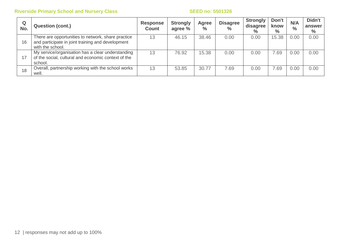| Q<br>No. | <b>Question (cont.)</b>                                                                                                     | <b>Response</b><br><b>Count</b> | <b>Strongly</b><br>agree % | Agree<br>$\frac{1}{2}$ | <b>Disagree</b><br>$\frac{0}{0}$ | <b>Strongly</b><br>disagree<br>$\%$ | Don't<br>know<br>$\%$ | N/A<br>$\frac{0}{0}$ | Didn't<br>answer<br>$\%$ |
|----------|-----------------------------------------------------------------------------------------------------------------------------|---------------------------------|----------------------------|------------------------|----------------------------------|-------------------------------------|-----------------------|----------------------|--------------------------|
| 16       | There are opportunities to network, share practice<br>and participate in joint training and development<br>with the school. | 13                              | 46.15                      | 38.46                  | 0.00                             | 0.00                                | 15.38                 | 0.00                 | 0.00                     |
| 17       | My service/organisation has a clear understanding<br>of the social, cultural and economic context of the<br>school.         | 13                              | 76.92                      | 15.38                  | 0.00                             | 0.00                                | 7.69                  | 0.00                 | 0.00                     |
| 18       | Overall, partnership working with the school works<br>well.                                                                 | 13                              | 53.85                      | 30.77                  | 7.69                             | 0.00                                | 7.69                  | 0.00                 | 0.00                     |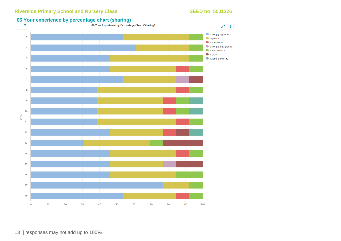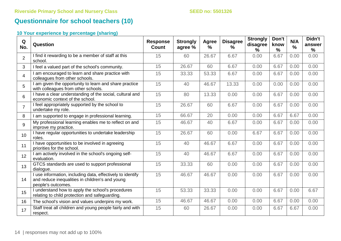# **Questionnaire for school teachers (10)**

### **10 Your experience by percentage (sharing)**

| Q<br>No.        | Question                                                                                                                            | <b>Response</b><br>Count | <b>Strongly</b><br>agree % | Agree<br>$\%$ | <b>Disagree</b><br>$\%$ | <b>Strongly</b><br>disagree<br>$\frac{9}{6}$ | Don't<br>know<br>$\frac{9}{6}$ | N/A<br>$\frac{9}{6}$ | Didn't<br>answer<br>$\frac{9}{6}$ |
|-----------------|-------------------------------------------------------------------------------------------------------------------------------------|--------------------------|----------------------------|---------------|-------------------------|----------------------------------------------|--------------------------------|----------------------|-----------------------------------|
| $\overline{2}$  | I find it rewarding to be a member of staff at this<br>school.                                                                      | 15                       | 60                         | 26.67         | 6.67                    | 0.00                                         | 6.67                           | 0.00                 | 0.00                              |
| $\mathbf{3}$    | I feel a valued part of the school's community.                                                                                     | 15                       | 26.67                      | 60            | 6.67                    | 0.00                                         | 6.67                           | 0.00                 | 0.00                              |
| $\overline{4}$  | I am encouraged to learn and share practice with<br>colleagues from other schools.                                                  | 15                       | 33.33                      | 53.33         | 6.67                    | 0.00                                         | 6.67                           | 0.00                 | 0.00                              |
| 5               | I am given the opportunity to learn and share practice<br>with colleagues from other schools.                                       | 15                       | 40                         | 46.67         | 13.33                   | 0.00                                         | 0.00                           | 0.00                 | 0.00                              |
| $6\phantom{1}$  | I have a clear understanding of the social, cultural and<br>economic context of the school.                                         | 15                       | 80                         | 13.33         | 0.00                    | 0.00                                         | 6.67                           | 0.00                 | 0.00                              |
| $\overline{7}$  | I feel appropriately supported by the school to<br>undertake my role.                                                               | 15                       | 26.67                      | 60            | 6.67                    | 0.00                                         | 6.67                           | 0.00                 | 0.00                              |
| 8               | I am supported to engage in professional learning.                                                                                  | 15                       | 66.67                      | 20            | 0.00                    | 0.00                                         | 6.67                           | 6.67                 | 0.00                              |
| 9               | My professional learning enables me to reflect on and<br>improve my practice.                                                       | 15                       | 46.67                      | 40            | 6.67                    | 0.00                                         | 6.67                           | 0.00                 | 0.00                              |
| 10 <sup>°</sup> | I have regular opportunities to undertake leadership<br>roles.                                                                      | 15                       | 26.67                      | 60            | 0.00                    | 6.67                                         | 6.67                           | 0.00                 | 0.00                              |
| 11              | I have opportunities to be involved in agreeing<br>priorities for the school.                                                       | 15                       | 40                         | 46.67         | 6.67                    | 0.00                                         | 6.67                           | 0.00                 | 0.00                              |
| 12              | I am actively involved in the school's ongoing self-<br>evaluation.                                                                 | 15                       | 40                         | 46.67         | 6.67                    | 0.00                                         | 6.67                           | 0.00                 | 0.00                              |
| 13              | GTCS standards are used to support professional<br>dialogue.                                                                        | 15                       | 33.33                      | 60            | 0.00                    | 0.00                                         | 6.67                           | 0.00                 | 0.00                              |
| 14              | I use information, including data, effectively to identify<br>and reduce inequalities in children's and young<br>people's outcomes. | 15                       | 46.67                      | 46.67         | 0.00                    | 0.00                                         | 6.67                           | 0.00                 | 0.00                              |
| 15              | I understand how to apply the school's procedures<br>relating to child protection and safeguarding.                                 | 15                       | 53.33                      | 33.33         | 0.00                    | 0.00                                         | 6.67                           | 0.00                 | 6.67                              |
| 16              | The school's vision and values underpins my work.                                                                                   | 15                       | 46.67                      | 46.67         | 0.00                    | 0.00                                         | 6.67                           | 0.00                 | 0.00                              |
| 17              | Staff treat all children and young people fairly and with<br>respect.                                                               | 15                       | 60                         | 26.67         | 0.00                    | 0.00                                         | 6.67                           | 6.67                 | 0.00                              |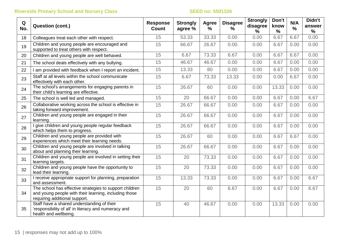| Q<br>No. | <b>Question (cont.)</b>                                                                                                                           | <b>Response</b><br><b>Count</b> | <b>Strongly</b><br>agree % | Agree<br>% | <b>Disagree</b><br>% | <b>Strongly</b><br>disagree<br>% | Don't<br>know<br>$\frac{0}{0}$ | N/A<br>$\frac{0}{0}$ | Didn't<br>answer<br>% |
|----------|---------------------------------------------------------------------------------------------------------------------------------------------------|---------------------------------|----------------------------|------------|----------------------|----------------------------------|--------------------------------|----------------------|-----------------------|
| 18       | Colleagues treat each other with respect.                                                                                                         | 15                              | 53.33                      | 33.33      | 0.00                 | 0.00                             | 6.67                           | 6.67                 | 0.00                  |
| 19       | Children and young people are encouraged and<br>supported to treat others with respect.                                                           | 15                              | 66.67                      | 26.67      | 0.00                 | 0.00                             | 6.67                           | 0.00                 | 0.00                  |
| 20       | Children and young people are well behaved.                                                                                                       | 15                              | 6.67                       | 73.33      | 6.67                 | 0.00                             | 6.67                           | 6.67                 | 0.00                  |
| 21       | The school deals effectively with any bullying.                                                                                                   | 15                              | 46.67                      | 46.67      | 0.00                 | 0.00                             | 6.67                           | 0.00                 | 0.00                  |
| 22       | I am provided with feedback when I report an incident.                                                                                            | 15                              | 13.33                      | 80         | 0.00                 | 0.00                             | 6.67                           | 0.00                 | 0.00                  |
| 23       | Staff at all levels within the school communicate<br>effectively with each other.                                                                 | 15                              | 6.67                       | 73.33      | 13.33                | 0.00                             | 0.00                           | 6.67                 | 0.00                  |
| 24       | The school's arrangements for engaging parents in<br>their child's learning are effective.                                                        | 15                              | 26.67                      | 60         | 0.00                 | 0.00                             | 13.33                          | 0.00                 | 0.00                  |
| 25       | The school is well led and managed.                                                                                                               | 15                              | 20                         | 66.67      | 0.00                 | 0.00                             | 6.67                           | 0.00                 | 6.67                  |
| 26       | Collaborative working across the school is effective in<br>taking forward improvement.                                                            | 15                              | 26.67                      | 66.67      | 0.00                 | 0.00                             | 6.67                           | 0.00                 | 0.00                  |
| 27       | Children and young people are engaged in their<br>learning.                                                                                       | 15                              | 26.67                      | 66.67      | 0.00                 | 0.00                             | 6.67                           | 0.00                 | 0.00                  |
| 28       | I give children and young people regular feedback<br>which helps them to progress.                                                                | 15                              | 26.67                      | 66.67      | 0.00                 | 0.00                             | 6.67                           | 0.00                 | 0.00                  |
| 29       | Children and young people are provided with<br>experiences which meet their learning needs.                                                       | 15                              | 26.67                      | 60         | 0.00                 | 0.00                             | 6.67                           | 6.67                 | 0.00                  |
| 30       | Children and young people are involved in talking<br>about and planning their learning.                                                           | 15                              | 26.67                      | 66.67      | 0.00                 | 0.00                             | 6.67                           | 0.00                 | 0.00                  |
| 31       | Children and young people are involved in setting their<br>learning targets.                                                                      | 15                              | 20                         | 73.33      | 0.00                 | 0.00                             | 6.67                           | 0.00                 | 0.00                  |
| 32       | Children and young people have the opportunity to<br>lead their learning.                                                                         | 15                              | 20                         | 73.33      | 0.00                 | 0.00                             | 6.67                           | 0.00                 | 0.00                  |
| 33       | I receive appropriate support for planning, preparation<br>and assessment.                                                                        | 15                              | 13.33                      | 73.33      | 0.00                 | 0.00                             | 6.67                           | 0.00                 | 6.67                  |
| 34       | The school has effective strategies to support children<br>and young people with their learning, including those<br>requiring additional support. | 15                              | 20                         | 60         | 6.67                 | 0.00                             | 6.67                           | 0.00                 | 6.67                  |
| 35       | Staff have a shared understanding of their<br>'responsibility of all' in literacy and numeracy and<br>health and wellbeing.                       | 15                              | 40                         | 46.67      | 0.00                 | 0.00                             | 13.33                          | 0.00                 | 0.00                  |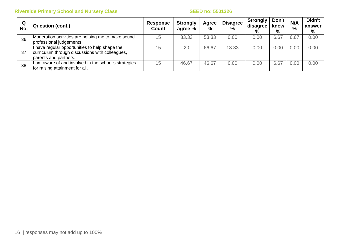| Q<br>No. | <b>Question (cont.)</b>                                                                                                    | <b>Response</b><br>Count | <b>Strongly</b><br>agree % | Agree<br>% | <b>Disagree</b><br>$\%$ | <b>Strongly</b><br>disagree<br>$\%$ | Don't<br>know<br>% | N/A<br>$\%$ | Didn't<br>answer<br>% |
|----------|----------------------------------------------------------------------------------------------------------------------------|--------------------------|----------------------------|------------|-------------------------|-------------------------------------|--------------------|-------------|-----------------------|
| 36       | Moderation activities are helping me to make sound<br>professional judgements.                                             | 15                       | 33.33                      | 53.33      | 0.00                    | 0.00                                | 6.67               | 6.67        | 0.00                  |
| 37       | I have regular opportunities to help shape the<br>curriculum through discussions with colleagues,<br>parents and partners. | 15                       | 20                         | 66.67      | 13.33                   | 0.00                                | 0.00               | 0.00        | 0.00                  |
| 38       | am aware of and involved in the school's strategies<br>for raising attainment for all.                                     | 15                       | 46.67                      | 46.67      | 0.00                    | 0.00                                | 6.67               | 0.00        | 0.00                  |